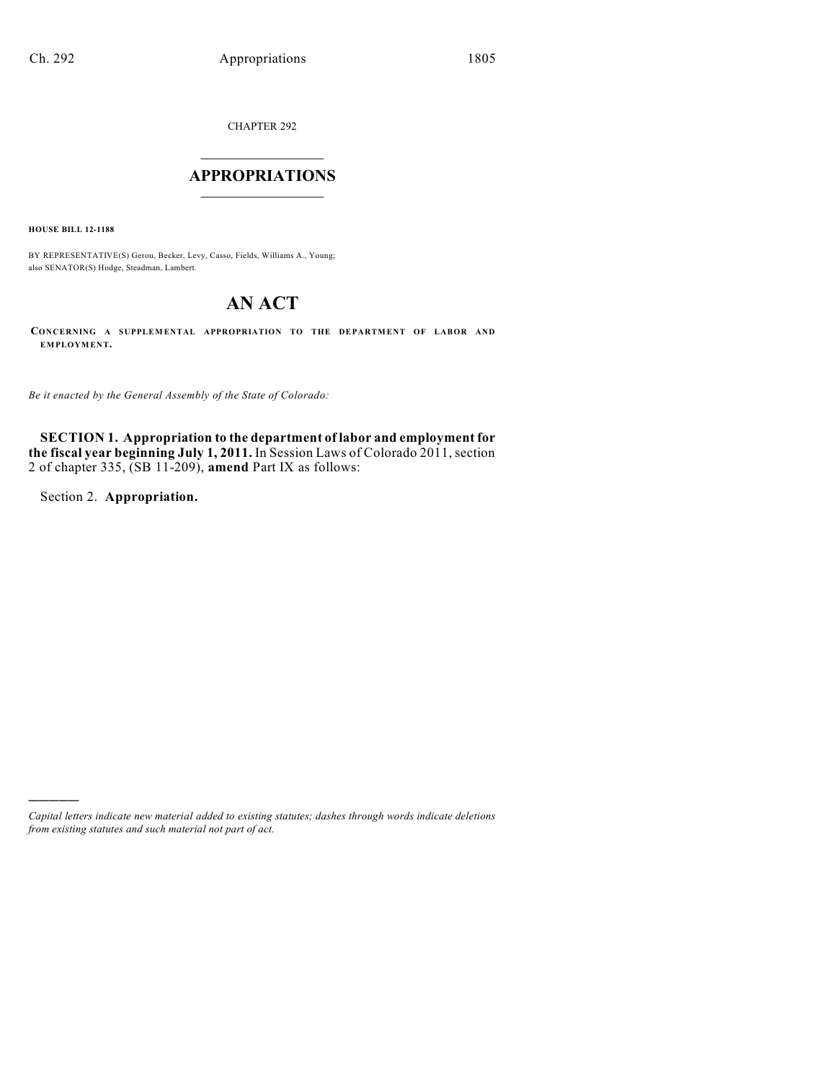CHAPTER 292

# $\overline{\phantom{a}}$  . The set of the set of the set of the set of the set of the set of the set of the set of the set of the set of the set of the set of the set of the set of the set of the set of the set of the set of the set o **APPROPRIATIONS**  $\_$   $\_$   $\_$   $\_$   $\_$   $\_$   $\_$   $\_$

**HOUSE BILL 12-1188**

BY REPRESENTATIVE(S) Gerou, Becker, Levy, Casso, Fields, Williams A., Young; also SENATOR(S) Hodge, Steadman, Lambert.

# **AN ACT**

**CONCERNING A SUPPLEMENTAL APPROPRIATION TO THE DEPARTMENT OF LABOR AND EMPLOYMENT.**

*Be it enacted by the General Assembly of the State of Colorado:*

**SECTION 1. Appropriation to the department of labor and employment for the fiscal year beginning July 1, 2011.** In Session Laws of Colorado 2011, section 2 of chapter 335, (SB 11-209), **amend** Part IX as follows:

Section 2. **Appropriation.**

)))))

*Capital letters indicate new material added to existing statutes; dashes through words indicate deletions from existing statutes and such material not part of act.*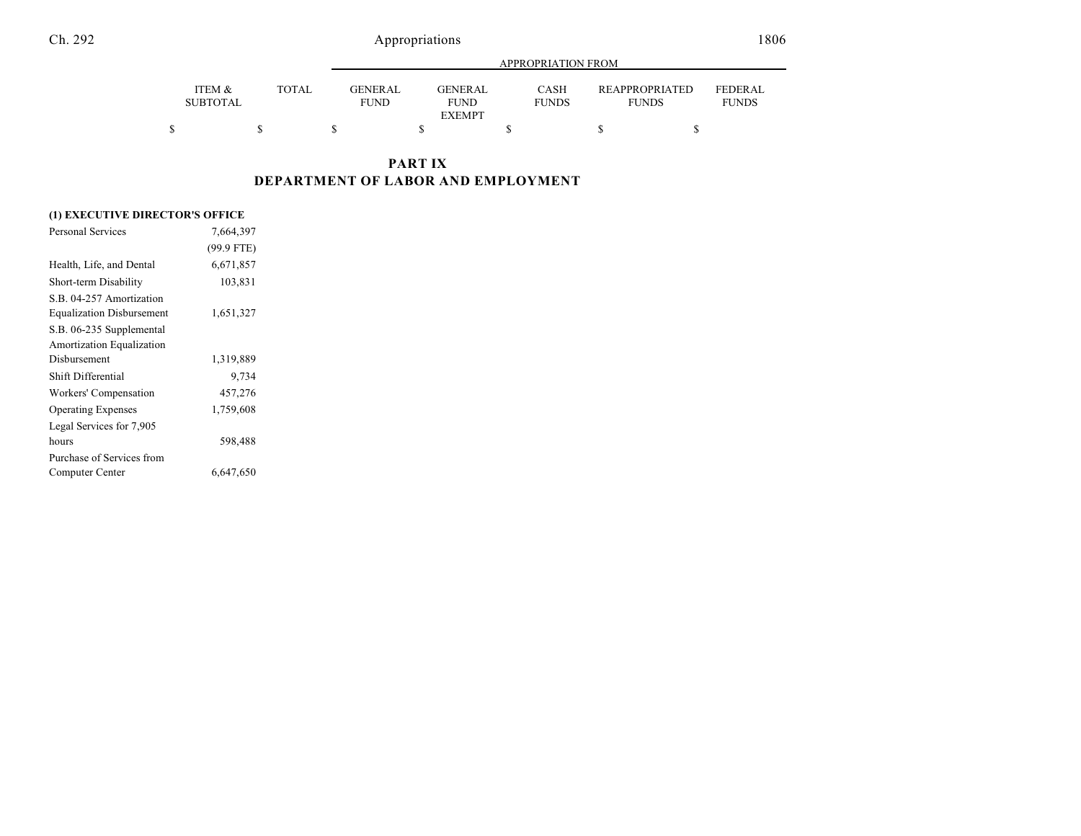|                                      |       |                               | APPROPRIATION FROM                             |                      |                                       |                                |
|--------------------------------------|-------|-------------------------------|------------------------------------------------|----------------------|---------------------------------------|--------------------------------|
| <b>ITEM &amp;</b><br><b>SUBTOTAL</b> | TOTAL | <b>GENERAL</b><br><b>FUND</b> | <b>GENERAL</b><br><b>FUND</b><br><b>EXEMPT</b> | CASH<br><b>FUNDS</b> | <b>REAPPROPRIATED</b><br><b>FUNDS</b> | <b>FEDERAL</b><br><b>FUNDS</b> |
| S                                    |       |                               |                                                |                      |                                       |                                |

### **PART IX DEPARTMENT OF LABOR AND EMPLOYMENT**

### **(1) EXECUTIVE DIRECTOR'S OFFICE**

| 7,664,397    |  |
|--------------|--|
| $(99.9$ FTE) |  |
| 6,671,857    |  |
| 103,831      |  |
|              |  |
| 1,651,327    |  |
|              |  |
|              |  |
| 1,319,889    |  |
| 9,734        |  |
| 457,276      |  |
| 1,759,608    |  |
|              |  |
| 598,488      |  |
|              |  |
| 6,647,650    |  |
|              |  |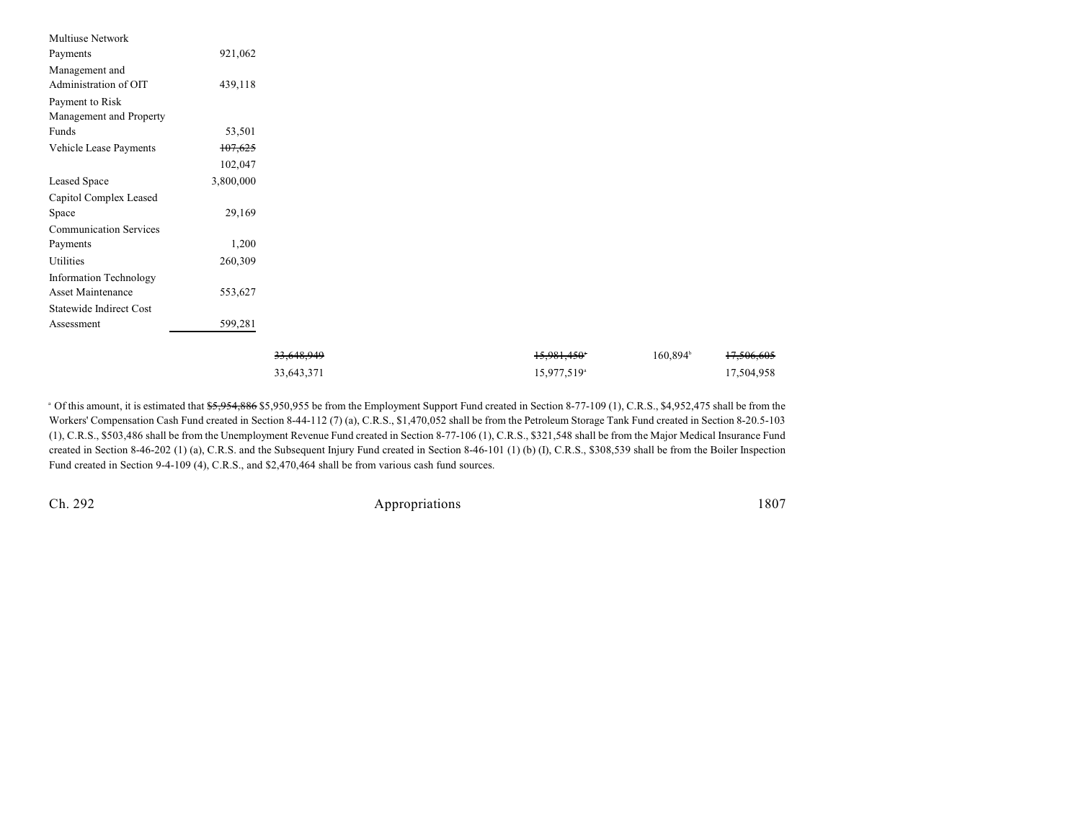| Multiuse Network              |           |            |                         |                      |            |
|-------------------------------|-----------|------------|-------------------------|----------------------|------------|
| Payments                      | 921,062   |            |                         |                      |            |
| Management and                |           |            |                         |                      |            |
| Administration of OIT         | 439,118   |            |                         |                      |            |
| Payment to Risk               |           |            |                         |                      |            |
| Management and Property       |           |            |                         |                      |            |
| Funds                         | 53,501    |            |                         |                      |            |
| Vehicle Lease Payments        | 107,625   |            |                         |                      |            |
|                               | 102,047   |            |                         |                      |            |
| Leased Space                  | 3,800,000 |            |                         |                      |            |
| Capitol Complex Leased        |           |            |                         |                      |            |
| Space                         | 29,169    |            |                         |                      |            |
| <b>Communication Services</b> |           |            |                         |                      |            |
| Payments                      | 1,200     |            |                         |                      |            |
| Utilities                     | 260,309   |            |                         |                      |            |
| Information Technology        |           |            |                         |                      |            |
| Asset Maintenance             | 553,627   |            |                         |                      |            |
| Statewide Indirect Cost       |           |            |                         |                      |            |
| Assessment                    | 599,281   |            |                         |                      |            |
|                               |           |            |                         |                      |            |
|                               |           | 33,648,949 | 15,981,450              | 160,894 <sup>b</sup> | 17,506,605 |
|                               |           | 33,643,371 | 15,977,519 <sup>a</sup> |                      | 17,504,958 |
|                               |           |            |                         |                      |            |

<sup>a</sup> Of this amount, it is estimated that \$5,954,886 \$5,950,955 be from the Employment Support Fund created in Section 8-77-109 (1), C.R.S., \$4,952,475 shall be from the Workers' Compensation Cash Fund created in Section 8-44-112 (7) (a), C.R.S., \$1,470,052 shall be from the Petroleum Storage Tank Fund created in Section 8-20.5-103 (1), C.R.S., \$503,486 shall be from the Unemployment Revenue Fund created in Section 8-77-106 (1), C.R.S., \$321,548 shall be from the Major Medical Insurance Fund created in Section 8-46-202 (1) (a), C.R.S. and the Subsequent Injury Fund created in Section 8-46-101 (1) (b) (I), C.R.S., \$308,539 shall be from the Boiler Inspection Fund created in Section 9-4-109 (4), C.R.S., and \$2,470,464 shall be from various cash fund sources.

Ch. 292 Appropriations 1807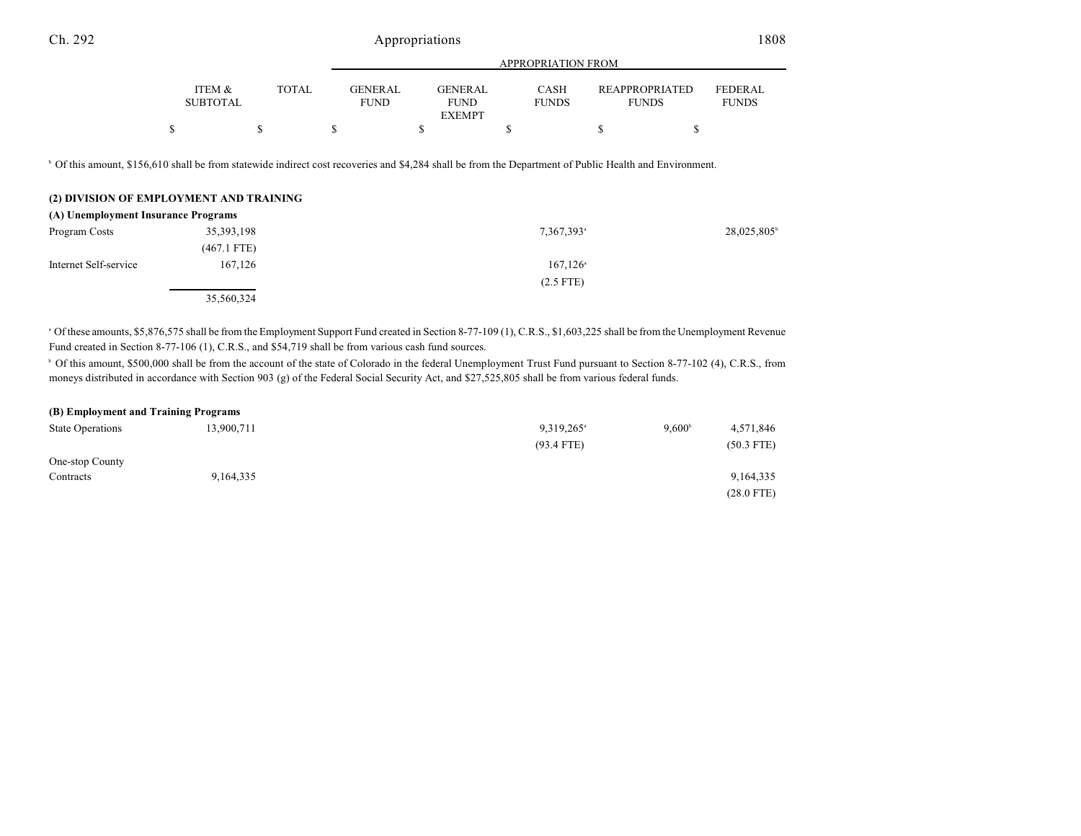### Ch. 292 Appropriations 1808

|                           |       | APPROPRIATION FROM                                         |                             |  |                                                                         |
|---------------------------|-------|------------------------------------------------------------|-----------------------------|--|-------------------------------------------------------------------------|
| ITEM &<br><b>SUBTOTAL</b> | TOTAL | <b>GENER AL</b><br>GENER AL.<br><b>FUND</b><br><b>FUND</b> | <b>CASH</b><br><b>FUNDS</b> |  | <b>REAPPROPRIATED</b><br><b>FEDERAL</b><br><b>FUNDS</b><br><b>FUNDS</b> |
|                           |       | <b>EXEMPT</b>                                              |                             |  |                                                                         |
|                           |       |                                                            |                             |  |                                                                         |

<sup>b</sup> Of this amount, \$156,610 shall be from statewide indirect cost recoveries and \$4,284 shall be from the Department of Public Health and Environment.

|                                     | (2) DIVISION OF EMPLOYMENT AND TRAINING |                        |            |
|-------------------------------------|-----------------------------------------|------------------------|------------|
| (A) Unemployment Insurance Programs |                                         |                        |            |
| Program Costs                       | 35, 393, 198                            | 7,367,393 <sup>a</sup> | 28,025,805 |
|                                     | $(467.1$ FTE)                           |                        |            |
| Internet Self-service               | 167.126                                 | $167.126^{\circ}$      |            |
|                                     |                                         | $(2.5$ FTE)            |            |
|                                     | 35,560,324                              |                        |            |

 $^{\circ}$  Of these amounts, \$5,876,575 shall be from the Employment Support Fund created in Section 8-77-109 (1), C.R.S., \$1,603,225 shall be from the Unemployment Revenue Fund created in Section 8-77-106 (1), C.R.S., and \$54,719 shall be from various cash fund sources.

<sup>b</sup> Of this amount, \$500,000 shall be from the account of the state of Colorado in the federal Unemployment Trust Fund pursuant to Section 8-77-102 (4), C.R.S., from moneys distributed in accordance with Section 903 (g) of the Federal Social Security Act, and \$27,525,805 shall be from various federal funds.

| (B) Employment and Training Programs |            |                        |                 |              |
|--------------------------------------|------------|------------------------|-----------------|--------------|
| <b>State Operations</b>              | 13.900.711 | 9,319,265 <sup>a</sup> | $9.600^{\circ}$ | 4,571,846    |
|                                      |            | $(93.4$ FTE)           |                 | $(50.3$ FTE) |
| One-stop County                      |            |                        |                 |              |
| Contracts                            | 9,164,335  |                        |                 | 9, 164, 335  |
|                                      |            |                        |                 | $(28.0$ FTE) |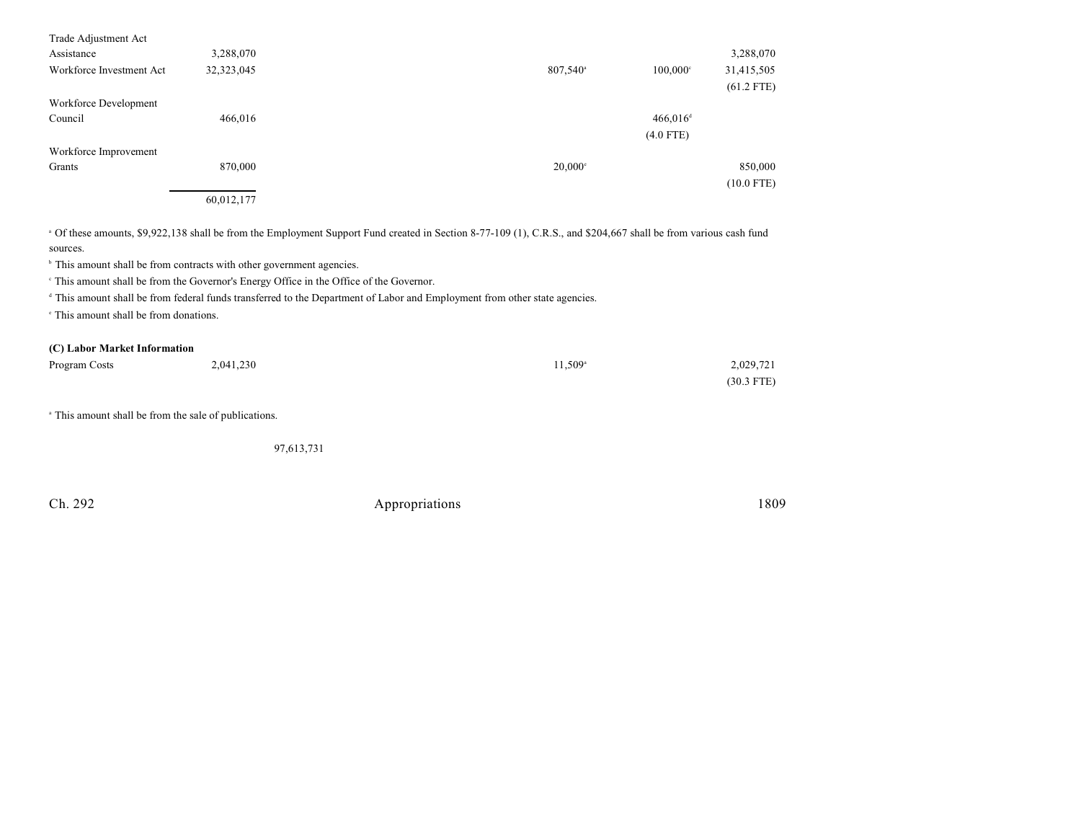| Trade Adjustment Act<br>Assistance<br>Workforce Investment Act | 3,288,070<br>32,323,045 | $807,540^{\circ}$<br>$100,000$ °      | 3,288,070<br>31,415,505<br>$(61.2$ FTE) |
|----------------------------------------------------------------|-------------------------|---------------------------------------|-----------------------------------------|
| Workforce Development<br>Council                               | 466,016                 | $466,016$ <sup>d</sup><br>$(4.0$ FTE) |                                         |
| Workforce Improvement<br>Grants                                | 870,000<br>60,012,177   | $20,000$ <sup>c</sup>                 | 850,000<br>$(10.0$ FTE)                 |

 Of these amounts, \$9,922,138 shall be from the Employment Support Fund created in Section 8-77-109 (1), C.R.S., and \$204,667 shall be from various cash fund <sup>a</sup> sources.

 $\,^{\circ}$  This amount shall be from contracts with other government agencies.

This amount shall be from the Governor's Energy Office in the Office of the Governor. <sup>c</sup>

<sup>d</sup> This amount shall be from federal funds transferred to the Department of Labor and Employment from other state agencies.

<sup>e</sup> This amount shall be from donations.

#### **(C) Labor Market Information**

| Program Costs | 2,041,230 | 11,509 <sup>a</sup> | 2,029,721    |
|---------------|-----------|---------------------|--------------|
|               |           |                     | $(30.3$ FTE) |

<sup>a</sup> This amount shall be from the sale of publications.

97,613,731

Ch. 292 Appropriations 1809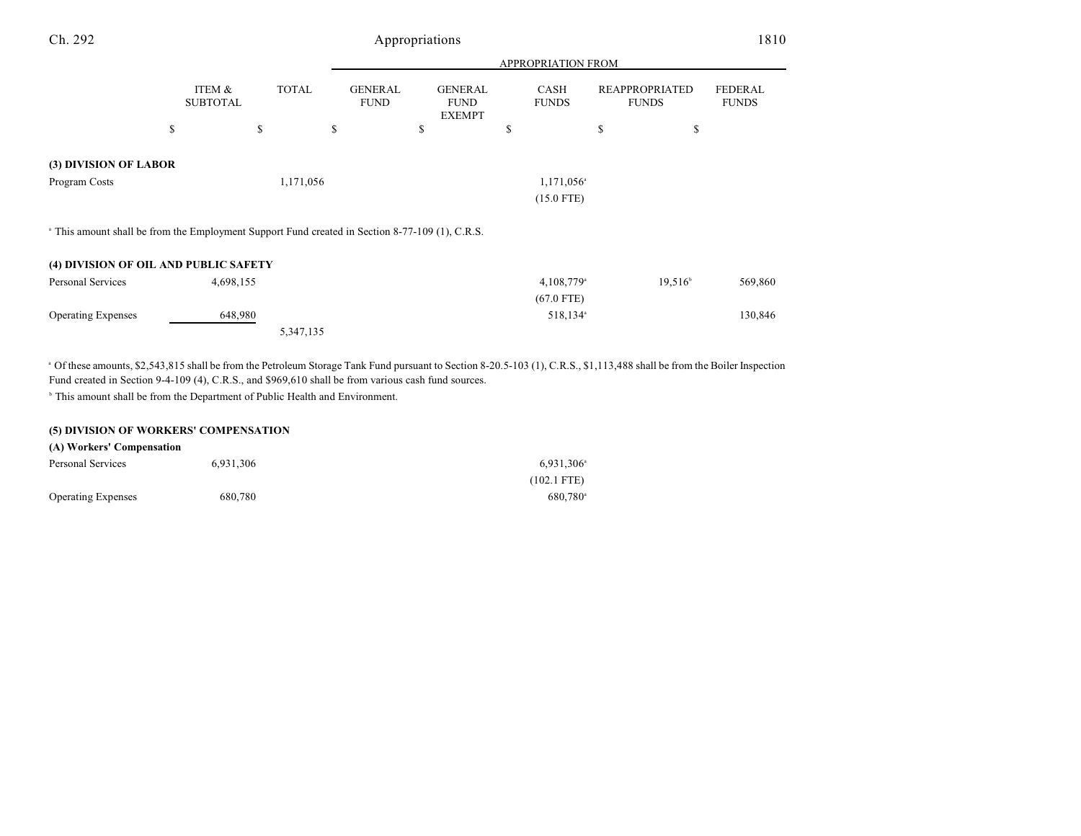| Ch. 292                                                                                                    |                           |              |                               | Appropriations                                 |                           |                                       | 1810                           |
|------------------------------------------------------------------------------------------------------------|---------------------------|--------------|-------------------------------|------------------------------------------------|---------------------------|---------------------------------------|--------------------------------|
|                                                                                                            |                           |              |                               |                                                | <b>APPROPRIATION FROM</b> |                                       |                                |
|                                                                                                            | ITEM &<br><b>SUBTOTAL</b> | <b>TOTAL</b> | <b>GENERAL</b><br><b>FUND</b> | <b>GENERAL</b><br><b>FUND</b><br><b>EXEMPT</b> | CASH<br><b>FUNDS</b>      | <b>REAPPROPRIATED</b><br><b>FUNDS</b> | <b>FEDERAL</b><br><b>FUNDS</b> |
|                                                                                                            | \$                        | \$           | S                             | \$                                             | <b>S</b>                  | \$<br>\$                              |                                |
| (3) DIVISION OF LABOR                                                                                      |                           |              |                               |                                                |                           |                                       |                                |
| Program Costs                                                                                              |                           | 1,171,056    |                               |                                                | 1,171,056 <sup>a</sup>    |                                       |                                |
|                                                                                                            |                           |              |                               |                                                | $(15.0$ FTE)              |                                       |                                |
| <sup>a</sup> This amount shall be from the Employment Support Fund created in Section 8-77-109 (1), C.R.S. |                           |              |                               |                                                |                           |                                       |                                |
| (4) DIVISION OF OIL AND PUBLIC SAFETY                                                                      |                           |              |                               |                                                |                           |                                       |                                |
| Personal Services                                                                                          | 4,698,155                 |              |                               |                                                | $4,108,779$ <sup>a</sup>  | $19,516^{\circ}$                      | 569,860                        |
|                                                                                                            |                           |              |                               |                                                | $(67.0$ FTE)              |                                       |                                |
| <b>Operating Expenses</b>                                                                                  | 648,980                   |              |                               |                                                | 518,134 <sup>a</sup>      |                                       | 130,846                        |

5,347,135

<sup>a</sup> Of these amounts, \$2,543,815 shall be from the Petroleum Storage Tank Fund pursuant to Section 8-20.5-103 (1), C.R.S., \$1,113,488 shall be from the Boiler Inspection Fund created in Section 9-4-109 (4), C.R.S., and \$969,610 shall be from various cash fund sources.

<sup>b</sup> This amount shall be from the Department of Public Health and Environment.

### **(5) DIVISION OF WORKERS' COMPENSATION**

| (A) Workers' Compensation |           |                     |
|---------------------------|-----------|---------------------|
| Personal Services         | 6.931.306 | $6,931,306^{\circ}$ |
|                           |           | $(102.1$ FTE)       |
| <b>Operating Expenses</b> | 680,780   | $680.780^{\circ}$   |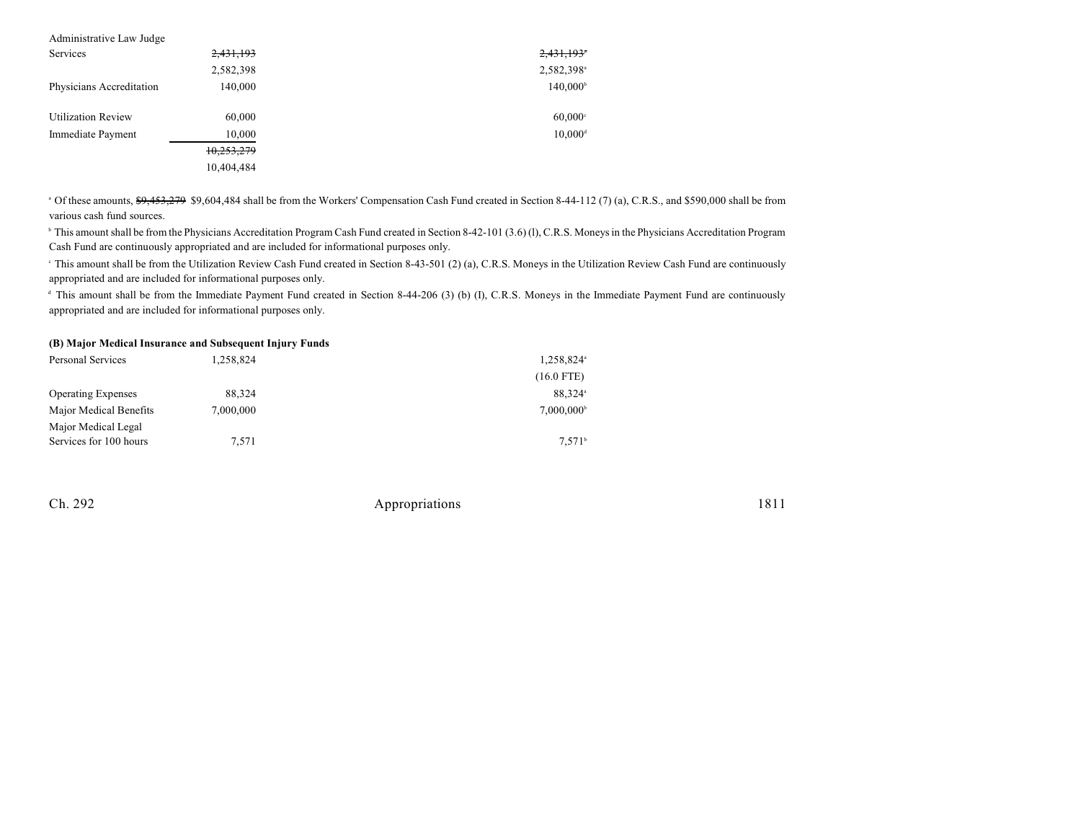| Administrative Law Judge  |            |                        |
|---------------------------|------------|------------------------|
| Services                  | 2,431,193  | 2,431,193*             |
|                           | 2,582,398  | 2,582,398 <sup>a</sup> |
| Physicians Accreditation  | 140,000    | 140,000 <sup>b</sup>   |
| <b>Utilization Review</b> | 60,000     | $60,000$ <sup>c</sup>  |
| Immediate Payment         | 10,000     | $10,000$ <sup>d</sup>  |
|                           | 10,253,279 |                        |
|                           | 10,404,484 |                        |

 $^{\circ}$  Of these amounts,  $$9,453,279$  \$9,604,484 shall be from the Workers' Compensation Cash Fund created in Section 8-44-112 (7) (a), C.R.S., and \$590,000 shall be from various cash fund sources.

<sup>b</sup> This amount shall be from the Physicians Accreditation Program Cash Fund created in Section 8-42-101 (3.6) (l), C.R.S. Moneys in the Physicians Accreditation Program Cash Fund are continuously appropriated and are included for informational purposes only.

<sup>e</sup> This amount shall be from the Utilization Review Cash Fund created in Section 8-43-501 (2) (a), C.R.S. Moneys in the Utilization Review Cash Fund are continuously appropriated and are included for informational purposes only.

<sup>d</sup> This amount shall be from the Immediate Payment Fund created in Section 8-44-206 (3) (b) (I), C.R.S. Moneys in the Immediate Payment Fund are continuously appropriated and are included for informational purposes only.

#### **(B) Major Medical Insurance and Subsequent Injury Funds**

| Personal Services         | 1,258,824 | 1,258,824 <sup>a</sup> |  |  |
|---------------------------|-----------|------------------------|--|--|
|                           |           | $(16.0$ FTE)           |  |  |
| <b>Operating Expenses</b> | 88.324    | 88.324 <sup>a</sup>    |  |  |
| Major Medical Benefits    | 7.000.000 | 7.000.000 <sup>b</sup> |  |  |
| Major Medical Legal       |           |                        |  |  |
| Services for 100 hours    | 7.571     | $7.571^{\circ}$        |  |  |

Ch. 292 Appropriations 1811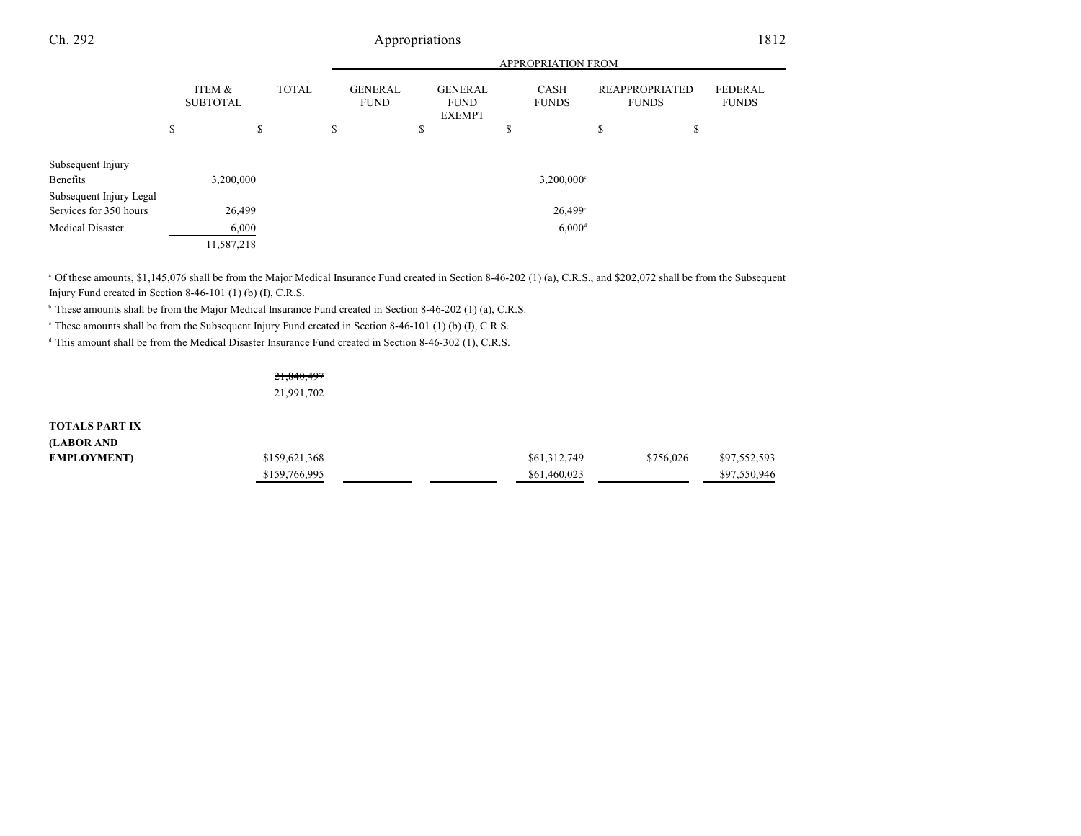### Ch. 292 Appropriations 1812

|                                                   |       |                           |              | <b>APPROPRIATION FROM</b>     |    |                                                |                      |                             |    |                                       |                                |
|---------------------------------------------------|-------|---------------------------|--------------|-------------------------------|----|------------------------------------------------|----------------------|-----------------------------|----|---------------------------------------|--------------------------------|
|                                                   |       | ITEM &<br><b>SUBTOTAL</b> | <b>TOTAL</b> | <b>GENERAL</b><br><b>FUND</b> |    | <b>GENERAL</b><br><b>FUND</b><br><b>EXEMPT</b> |                      | <b>CASH</b><br><b>FUNDS</b> |    | <b>REAPPROPRIATED</b><br><b>FUNDS</b> | <b>FEDERAL</b><br><b>FUNDS</b> |
|                                                   | \$    |                           | \$           | \$                            | \$ |                                                | \$                   |                             | \$ | S                                     |                                |
| Subsequent Injury<br>Benefits                     |       | 3,200,000                 |              |                               |    |                                                |                      | $3,200,000$ <sup>c</sup>    |    |                                       |                                |
| Subsequent Injury Legal<br>Services for 350 hours |       | 26,499                    |              |                               |    |                                                |                      | 26,499°                     |    |                                       |                                |
| <b>Medical Disaster</b>                           | 6,000 |                           |              |                               |    |                                                | $6,000$ <sup>d</sup> |                             |    |                                       |                                |
|                                                   |       | 11,587,218                |              |                               |    |                                                |                      |                             |    |                                       |                                |

<sup>a</sup> Of these amounts, \$1,145,076 shall be from the Major Medical Insurance Fund created in Section 8-46-202 (1) (a), C.R.S., and \$202,072 shall be from the Subsequent Injury Fund created in Section 8-46-101 (1) (b) (I), C.R.S.

<sup>b</sup> These amounts shall be from the Major Medical Insurance Fund created in Section 8-46-202 (1) (a), C.R.S.

 $\degree$  These amounts shall be from the Subsequent Injury Fund created in Section 8-46-101 (1) (b) (I), C.R.S.

<sup>d</sup> This amount shall be from the Medical Disaster Insurance Fund created in Section 8-46-302 (1), C.R.S.

21,840,497 21,991,702

**TOTALS PART IX (LABOR AND**

| (LABUK AND        |               |                         |                                      |
|-------------------|---------------|-------------------------|--------------------------------------|
| <b>EMPLOYMENT</b> | \$159,621,368 | <del>\$61,312,749</del> | <del>\$97,552,593</del><br>\$756,026 |
|                   | \$159,766,995 | \$61,460,023            | \$97,550,946                         |